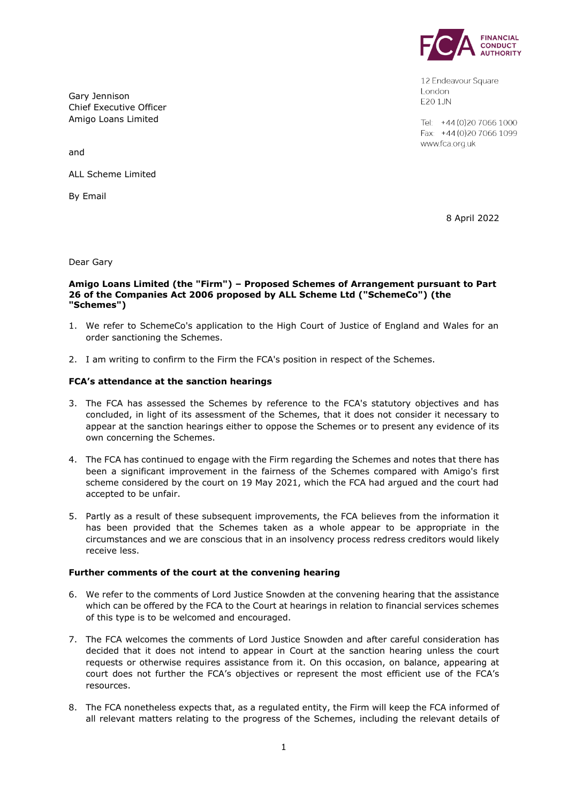

12 Endeavour Square London E201JN

Tel: +44 (0) 20 7066 1000 Fax: +44 (0) 20 7066 1099 www.fca.org.uk

Gary Jennison Chief Executive Officer Amigo Loans Limited

and

ALL Scheme Limited

By Email

8 April 2022

Dear Gary

### **Amigo Loans Limited (the "Firm") – Proposed Schemes of Arrangement pursuant to Part 26 of the Companies Act 2006 proposed by ALL Scheme Ltd ("SchemeCo") (the "Schemes")**

- 1. We refer to SchemeCo's application to the High Court of Justice of England and Wales for an order sanctioning the Schemes.
- 2. I am writing to confirm to the Firm the FCA's position in respect of the Schemes.

# **FCA's attendance at the sanction hearings**

- 3. The FCA has assessed the Schemes by reference to the FCA's statutory objectives and has concluded, in light of its assessment of the Schemes, that it does not consider it necessary to appear at the sanction hearings either to oppose the Schemes or to present any evidence of its own concerning the Schemes.
- 4. The FCA has continued to engage with the Firm regarding the Schemes and notes that there has been a significant improvement in the fairness of the Schemes compared with Amigo's first scheme considered by the court on 19 May 2021, which the FCA had argued and the court had accepted to be unfair.
- 5. Partly as a result of these subsequent improvements, the FCA believes from the information it has been provided that the Schemes taken as a whole appear to be appropriate in the circumstances and we are conscious that in an insolvency process redress creditors would likely receive less.

### **Further comments of the court at the convening hearing**

- 6. We refer to the comments of Lord Justice Snowden at the convening hearing that the assistance which can be offered by the FCA to the Court at hearings in relation to financial services schemes of this type is to be welcomed and encouraged.
- 7. The FCA welcomes the comments of Lord Justice Snowden and after careful consideration has decided that it does not intend to appear in Court at the sanction hearing unless the court requests or otherwise requires assistance from it. On this occasion, on balance, appearing at court does not further the FCA's objectives or represent the most efficient use of the FCA's resources.
- 8. The FCA nonetheless expects that, as a regulated entity, the Firm will keep the FCA informed of all relevant matters relating to the progress of the Schemes, including the relevant details of